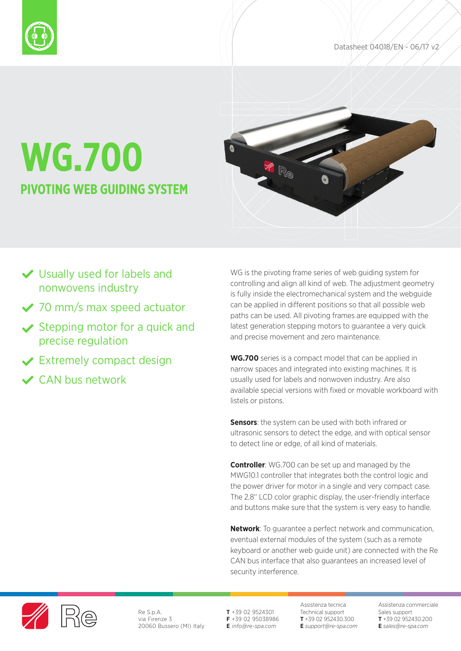



# **WG.700 PIVOTING WEB GUIDING SYSTEM**



- Usually used for labels and nonwovens industry
- ◆ 70 mm/s max speed actuator
- $\vee$  Stepping motor for a quick and precise regulation
- **◆ Extremely compact design**
- CAN bus network

WG is the pivoting frame series of web guiding system for controlling and align all kind of web. The adjustment geometry is fully inside the electromechanical system and the webguide can be applied in different positions so that all possible web paths can be used. All pivoting frames are equipped with the latest generation stepping motors to guarantee a very quick and precise movement and zero maintenance.

**WG.700** series is a compact model that can be applied in narrow spaces and integrated into existing machines. It is usually used for labels and nonwoven industry. Are also available special versions with fixed or movable workboard with listels or pistons.

**Sensors:** the system can be used with both infrared or ultrasonic sensors to detect the edge, and with optical sensor to detect line or edge, of all kind of materials.

**Controller**: WG.700 can be set up and managed by the MWG10.1 controller that integrates both the control logic and the power driver for motor in a single and very compact case. The 2,8' LCD color graphic display, the user-friendly interface and buttons make sure that the system is very easy to handle.

**Network**: To guarantee a perfect network and communication, eventual external modules of the system (such as a remote keyboard or another web guide unit) are connected with the Re CAN bus interface that also guarantees an increased level of security interference.



Re S.p.A. via Firenze 3 20060 Bussero (MI) Italy **T** +39 02 9524301 **F** +39 02 95038986 **E** *info@re-spa.com*

Assistenza tecnica Technical support **T** +39 02 952430.300 **E** *support@re-spa.com* Assistenza commerciale Sales support **T** +39 02 952430.200 **E** *sales@re-spa.com*